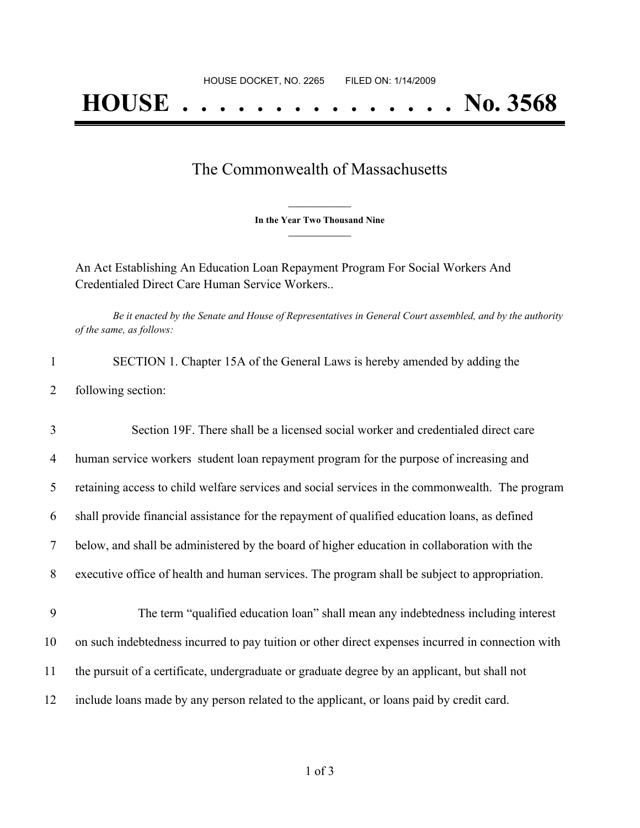## The Commonwealth of Massachusetts

**\_\_\_\_\_\_\_\_\_\_\_\_\_\_\_ In the Year Two Thousand Nine \_\_\_\_\_\_\_\_\_\_\_\_\_\_\_**

An Act Establishing An Education Loan Repayment Program For Social Workers And Credentialed Direct Care Human Service Workers..

Be it enacted by the Senate and House of Representatives in General Court assembled, and by the authority *of the same, as follows:*

1 SECTION 1. Chapter 15A of the General Laws is hereby amended by adding the 2 following section:

3 Section 19F. There shall be a licensed social worker and credentialed direct care 4 human service workers student loan repayment program for the purpose of increasing and retaining access to child welfare services and social services in the commonwealth. The program shall provide financial assistance for the repayment of qualified education loans, as defined below, and shall be administered by the board of higher education in collaboration with the executive office of health and human services. The program shall be subject to appropriation. 9 The term "qualified education loan" shall mean any indebtedness including interest on such indebtedness incurred to pay tuition or other direct expenses incurred in connection with

- 11 the pursuit of a certificate, undergraduate or graduate degree by an applicant, but shall not
- 12 include loans made by any person related to the applicant, or loans paid by credit card.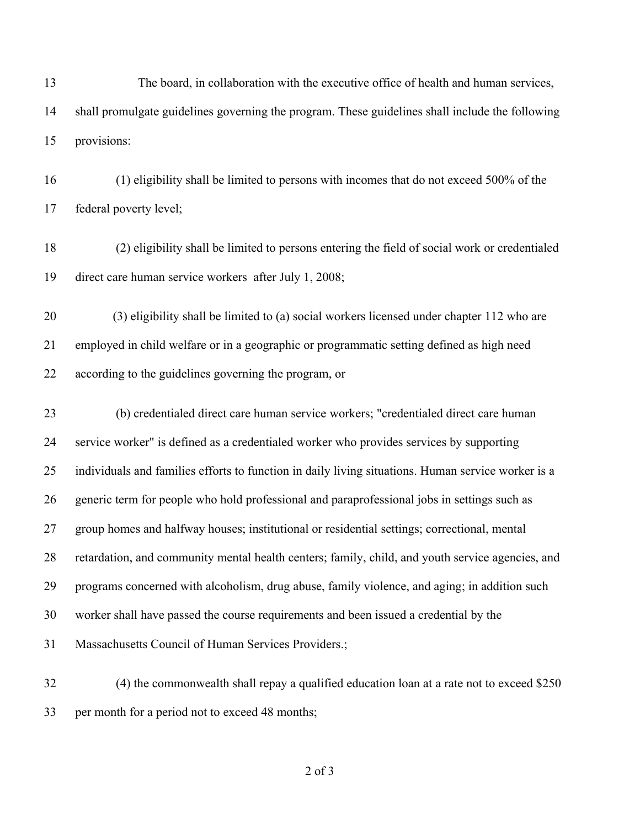13 The board, in collaboration with the executive office of health and human services, shall promulgate guidelines governing the program. These guidelines shall include the following provisions:

 (1) eligibility shall be limited to persons with incomes that do not exceed 500% of the federal poverty level;

 (2) eligibility shall be limited to persons entering the field of social work or credentialed direct care human service workers after July 1, 2008;

 (3) eligibility shall be limited to (a) social workers licensed under chapter 112 who are employed in child welfare or in a geographic or programmatic setting defined as high need according to the guidelines governing the program, or

 (b) credentialed direct care human service workers; "credentialed direct care human service worker" is defined as a credentialed worker who provides services by supporting individuals and families efforts to function in daily living situations. Human service worker is a generic term for people who hold professional and paraprofessional jobs in settings such as group homes and halfway houses; institutional or residential settings; correctional, mental retardation, and community mental health centers; family, child, and youth service agencies, and programs concerned with alcoholism, drug abuse, family violence, and aging; in addition such worker shall have passed the course requirements and been issued a credential by the Massachusetts Council of Human Services Providers.;

 (4) the commonwealth shall repay a qualified education loan at a rate not to exceed \$250 per month for a period not to exceed 48 months;

of 3